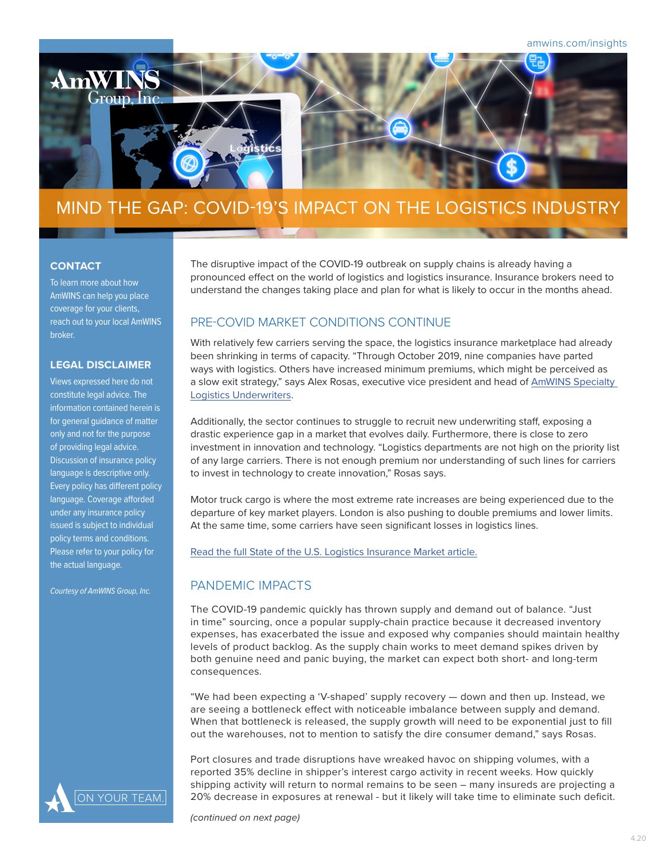

# MIND THE GAP: COVID-19'S IMPACT ON THE LOGISTICS INDUSTRY

#### **CONTACT**

To learn more about how AmWINS can help you place coverage for your clients, reach out to your local AmWINS broker.

#### **LEGAL DISCLAIMER**

Views expressed here do not constitute legal advice. The information contained herein is for general guidance of matter only and not for the purpose of providing legal advice. Discussion of insurance policy language is descriptive only. Every policy has different policy language. Coverage afforded under any insurance policy issued is subject to individual policy terms and conditions. Please refer to your policy for the actual language.

*Courtesy of AmWINS Group, Inc.*



The disruptive impact of the COVID-19 outbreak on supply chains is already having a pronounced effect on the world of logistics and logistics insurance. Insurance brokers need to understand the changes taking place and plan for what is likely to occur in the months ahead.

## PRE-COVID MARKET CONDITIONS CONTINUE

With relatively few carriers serving the space, the logistics insurance marketplace had already been shrinking in terms of capacity. "Through October 2019, nine companies have parted ways with logistics. Others have increased minimum premiums, which might be perceived as a slow exit strategy," says Alex Rosas, executive vice president and head of [AmWINS Specialty](https://www.amwins.com/operating-company-pages/amwins-specialty-logistics-underwriters)  [Logistics Underwriters](https://www.amwins.com/operating-company-pages/amwins-specialty-logistics-underwriters).

Additionally, the sector continues to struggle to recruit new underwriting staff, exposing a drastic experience gap in a market that evolves daily. Furthermore, there is close to zero investment in innovation and technology. "Logistics departments are not high on the priority list of any large carriers. There is not enough premium nor understanding of such lines for carriers to invest in technology to create innovation," Rosas says.

Motor truck cargo is where the most extreme rate increases are being experienced due to the departure of key market players. London is also pushing to double premiums and lower limits. At the same time, some carriers have seen significant losses in logistics lines.

[Read the full State of the U.S. Logistics Insurance Market article.](https://amwins.expert/EdgelogisticsSOTM)

## PANDEMIC IMPACTS

The COVID-19 pandemic quickly has thrown supply and demand out of balance. "Just in time" sourcing, once a popular supply-chain practice because it decreased inventory expenses, has exacerbated the issue and exposed why companies should maintain healthy levels of product backlog. As the supply chain works to meet demand spikes driven by both genuine need and panic buying, the market can expect both short- and long-term consequences.

"We had been expecting a 'V-shaped' supply recovery — down and then up. Instead, we are seeing a bottleneck effect with noticeable imbalance between supply and demand. When that bottleneck is released, the supply growth will need to be exponential just to fill out the warehouses, not to mention to satisfy the dire consumer demand," says Rosas.

Port closures and trade disruptions have wreaked havoc on shipping volumes, with a reported 35% decline in shipper's interest cargo activity in recent weeks. How quickly shipping activity will return to normal remains to be seen – many insureds are projecting a 20% decrease in exposures at renewal - but it likely will take time to eliminate such deficit.

*(continued on next page)*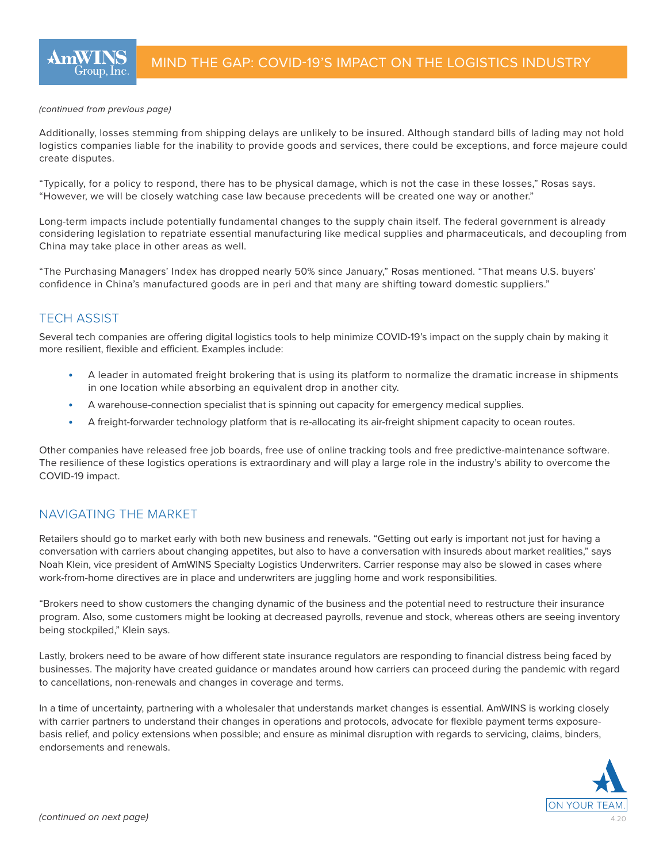#### *(continued from previous page)*

Additionally, losses stemming from shipping delays are unlikely to be insured. Although standard bills of lading may not hold logistics companies liable for the inability to provide goods and services, there could be exceptions, and force majeure could create disputes.

"Typically, for a policy to respond, there has to be physical damage, which is not the case in these losses," Rosas says. "However, we will be closely watching case law because precedents will be created one way or another."

Long-term impacts include potentially fundamental changes to the supply chain itself. The federal government is already considering legislation to repatriate essential manufacturing like medical supplies and pharmaceuticals, and decoupling from China may take place in other areas as well.

"The Purchasing Managers' Index has dropped nearly 50% since January," Rosas mentioned. "That means U.S. buyers' confidence in China's manufactured goods are in peri and that many are shifting toward domestic suppliers."

### TECH ASSIST

Several tech companies are offering digital logistics tools to help minimize COVID-19's impact on the supply chain by making it more resilient, flexible and efficient. Examples include:

- A leader in automated freight brokering that is using its platform to normalize the dramatic increase in shipments in one location while absorbing an equivalent drop in another city.
- A warehouse-connection specialist that is spinning out capacity for emergency medical supplies.
- A freight-forwarder technology platform that is re-allocating its air-freight shipment capacity to ocean routes.

Other companies have released free job boards, free use of online tracking tools and free predictive-maintenance software. The resilience of these logistics operations is extraordinary and will play a large role in the industry's ability to overcome the COVID-19 impact.

#### NAVIGATING THE MARKET

Retailers should go to market early with both new business and renewals. "Getting out early is important not just for having a conversation with carriers about changing appetites, but also to have a conversation with insureds about market realities," says Noah Klein, vice president of AmWINS Specialty Logistics Underwriters. Carrier response may also be slowed in cases where work-from-home directives are in place and underwriters are juggling home and work responsibilities.

"Brokers need to show customers the changing dynamic of the business and the potential need to restructure their insurance program. Also, some customers might be looking at decreased payrolls, revenue and stock, whereas others are seeing inventory being stockpiled," Klein says.

Lastly, brokers need to be aware of how different state insurance regulators are responding to financial distress being faced by businesses. The majority have created guidance or mandates around how carriers can proceed during the pandemic with regard to cancellations, non-renewals and changes in coverage and terms.

In a time of uncertainty, partnering with a wholesaler that understands market changes is essential. AmWINS is working closely with carrier partners to understand their changes in operations and protocols, advocate for flexible payment terms exposurebasis relief, and policy extensions when possible; and ensure as minimal disruption with regards to servicing, claims, binders, endorsements and renewals.